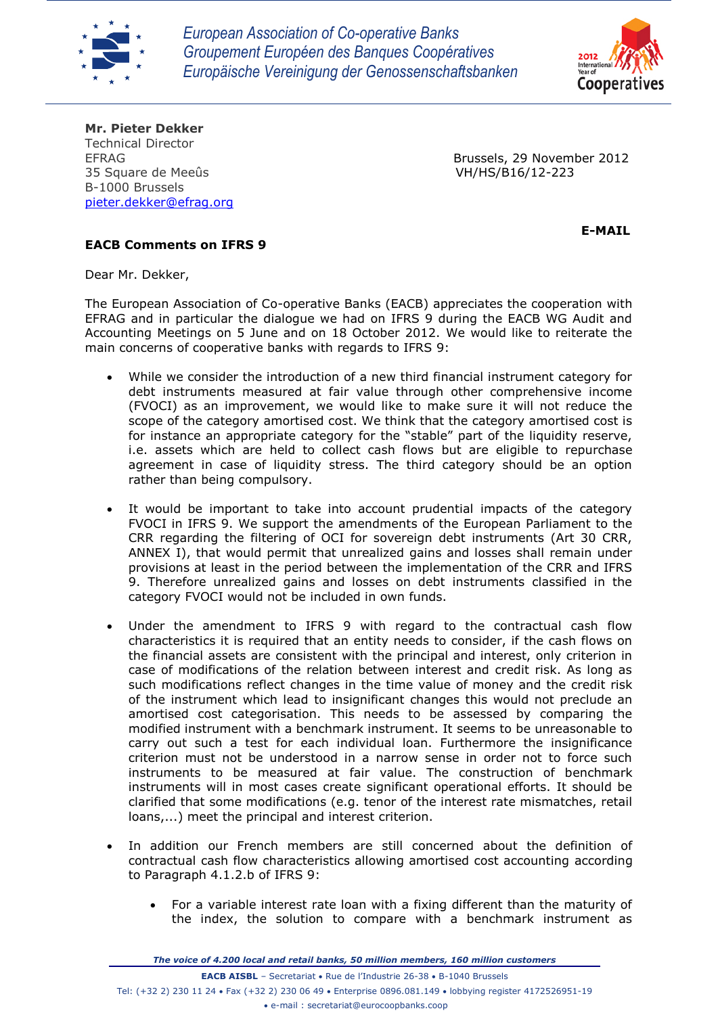



**Mr. Pieter Dekker** Technical Director 35 Square de Meeûs VH/HS/B16/12-223 B-1000 Brussels [pieter.dekker@efrag.org](mailto:pieter.dekker@efrag.org)

EFRAG Brussels, 29 November 2012

 **E-MAIL**

## **EACB Comments on IFRS 9**

Dear Mr. Dekker,

The European Association of Co-operative Banks (EACB) appreciates the cooperation with EFRAG and in particular the dialogue we had on IFRS 9 during the EACB WG Audit and Accounting Meetings on 5 June and on 18 October 2012. We would like to reiterate the main concerns of cooperative banks with regards to IFRS 9:

- While we consider the introduction of a new third financial instrument category for debt instruments measured at fair value through other comprehensive income (FVOCI) as an improvement, we would like to make sure it will not reduce the scope of the category amortised cost. We think that the category amortised cost is for instance an appropriate category for the "stable" part of the liquidity reserve, i.e. assets which are held to collect cash flows but are eligible to repurchase agreement in case of liquidity stress. The third category should be an option rather than being compulsory.
- It would be important to take into account prudential impacts of the category FVOCI in IFRS 9. We support the amendments of the European Parliament to the CRR regarding the filtering of OCI for sovereign debt instruments (Art 30 CRR, ANNEX I), that would permit that unrealized gains and losses shall remain under provisions at least in the period between the implementation of the CRR and IFRS 9. Therefore unrealized gains and losses on debt instruments classified in the category FVOCI would not be included in own funds.
- Under the amendment to IFRS 9 with regard to the contractual cash flow characteristics it is required that an entity needs to consider, if the cash flows on the financial assets are consistent with the principal and interest, only criterion in case of modifications of the relation between interest and credit risk. As long as such modifications reflect changes in the time value of money and the credit risk of the instrument which lead to insignificant changes this would not preclude an amortised cost categorisation. This needs to be assessed by comparing the modified instrument with a benchmark instrument. It seems to be unreasonable to carry out such a test for each individual loan. Furthermore the insignificance criterion must not be understood in a narrow sense in order not to force such instruments to be measured at fair value. The construction of benchmark instruments will in most cases create significant operational efforts. It should be clarified that some modifications (e.g. tenor of the interest rate mismatches, retail loans,...) meet the principal and interest criterion.
- In addition our French members are still concerned about the definition of contractual cash flow characteristics allowing amortised cost accounting according to Paragraph 4.1.2.b of IFRS 9:
	- For a variable interest rate loan with a fixing different than the maturity of the index, the solution to compare with a benchmark instrument as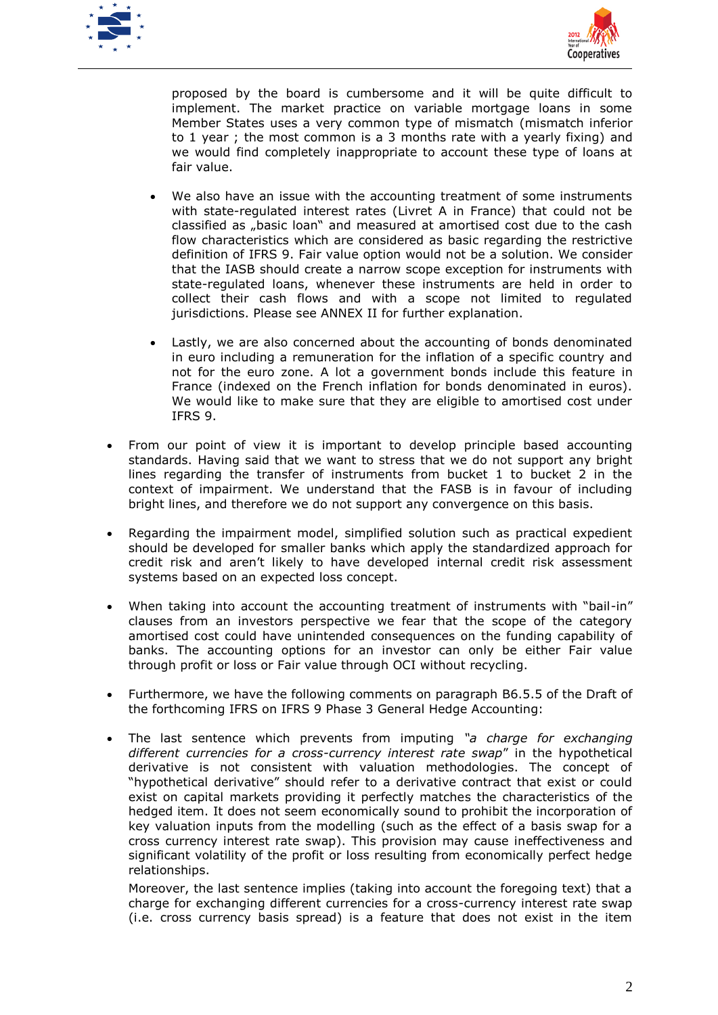



proposed by the board is cumbersome and it will be quite difficult to implement. The market practice on variable mortgage loans in some Member States uses a very common type of mismatch (mismatch inferior to 1 year ; the most common is a 3 months rate with a yearly fixing) and we would find completely inappropriate to account these type of loans at fair value.

- We also have an issue with the accounting treatment of some instruments with state-regulated interest rates (Livret A in France) that could not be classified as "basic loan" and measured at amortised cost due to the cash flow characteristics which are considered as basic regarding the restrictive definition of IFRS 9. Fair value option would not be a solution. We consider that the IASB should create a narrow scope exception for instruments with state-regulated loans, whenever these instruments are held in order to collect their cash flows and with a scope not limited to regulated jurisdictions. Please see ANNEX II for further explanation.
- Lastly, we are also concerned about the accounting of bonds denominated in euro including a remuneration for the inflation of a specific country and not for the euro zone. A lot a government bonds include this feature in France (indexed on the French inflation for bonds denominated in euros). We would like to make sure that they are eligible to amortised cost under IFRS 9.
- From our point of view it is important to develop principle based accounting standards. Having said that we want to stress that we do not support any bright lines regarding the transfer of instruments from bucket 1 to bucket 2 in the context of impairment. We understand that the FASB is in favour of including bright lines, and therefore we do not support any convergence on this basis.
- Regarding the impairment model, simplified solution such as practical expedient should be developed for smaller banks which apply the standardized approach for credit risk and aren't likely to have developed internal credit risk assessment systems based on an expected loss concept.
- When taking into account the accounting treatment of instruments with "bail-in" clauses from an investors perspective we fear that the scope of the category amortised cost could have unintended consequences on the funding capability of banks. The accounting options for an investor can only be either Fair value through profit or loss or Fair value through OCI without recycling.
- Furthermore, we have the following comments on paragraph B6.5.5 of the Draft of the forthcoming IFRS on IFRS 9 Phase 3 General Hedge Accounting:
- The last sentence which prevents from imputing *"a charge for exchanging different currencies for a cross-currency interest rate swap*" in the hypothetical derivative is not consistent with valuation methodologies. The concept of "hypothetical derivative" should refer to a derivative contract that exist or could exist on capital markets providing it perfectly matches the characteristics of the hedged item. It does not seem economically sound to prohibit the incorporation of key valuation inputs from the modelling (such as the effect of a basis swap for a cross currency interest rate swap). This provision may cause ineffectiveness and significant volatility of the profit or loss resulting from economically perfect hedge relationships.

Moreover, the last sentence implies (taking into account the foregoing text) that a charge for exchanging different currencies for a cross-currency interest rate swap (i.e. cross currency basis spread) is a feature that does not exist in the item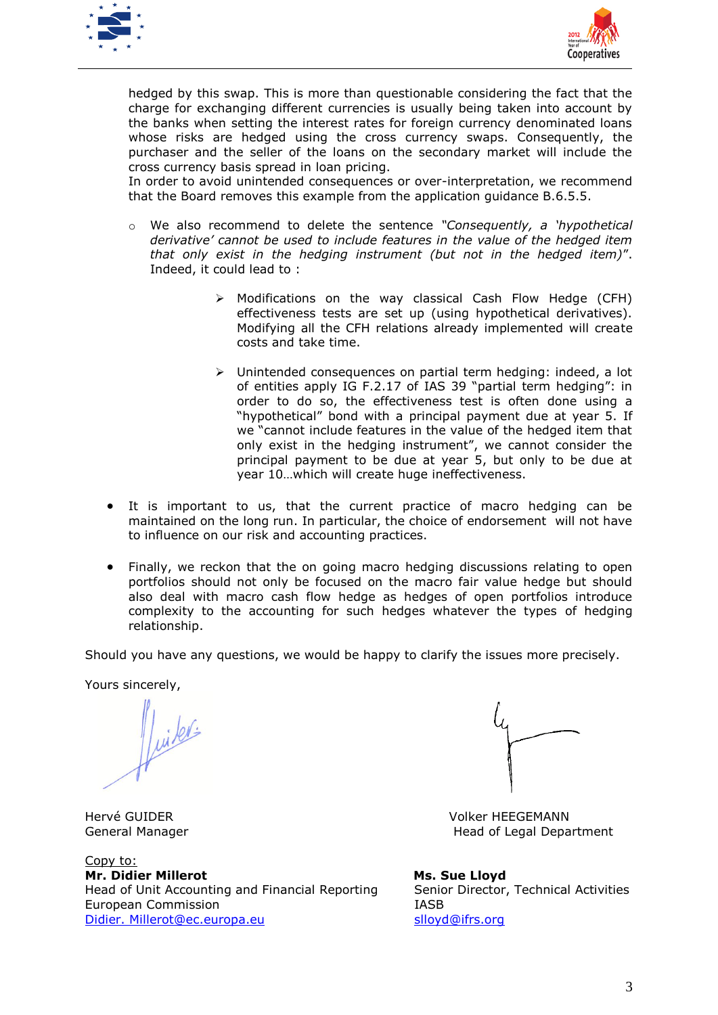



hedged by this swap. This is more than questionable considering the fact that the charge for exchanging different currencies is usually being taken into account by the banks when setting the interest rates for foreign currency denominated loans whose risks are hedged using the cross currency swaps. Consequently, the purchaser and the seller of the loans on the secondary market will include the cross currency basis spread in loan pricing.

In order to avoid unintended consequences or over-interpretation, we recommend that the Board removes this example from the application guidance B.6.5.5.

- o We also recommend to delete the sentence *"Consequently, a 'hypothetical derivative' cannot be used to include features in the value of the hedged item that only exist in the hedging instrument (but not in the hedged item)*". Indeed, it could lead to :
	- Modifications on the way classical Cash Flow Hedge (CFH) effectiveness tests are set up (using hypothetical derivatives). Modifying all the CFH relations already implemented will create costs and take time.
	- Unintended consequences on partial term hedging: indeed, a lot of entities apply IG F.2.17 of IAS 39 "partial term hedging": in order to do so, the effectiveness test is often done using a "hypothetical" bond with a principal payment due at year 5. If we "cannot include features in the value of the hedged item that only exist in the hedging instrument", we cannot consider the principal payment to be due at year 5, but only to be due at year 10…which will create huge ineffectiveness.
- It is important to us, that the current practice of macro hedging can be maintained on the long run. In particular, the choice of endorsement will not have to influence on our risk and accounting practices.
- Finally, we reckon that the on going macro hedging discussions relating to open portfolios should not only be focused on the macro fair value hedge but should also deal with macro cash flow hedge as hedges of open portfolios introduce complexity to the accounting for such hedges whatever the types of hedging relationship.

Should you have any questions, we would be happy to clarify the issues more precisely.

Yours sincerely,

 $\|$ uiters

Copy to: **Mr. Didier Millerot Millerot Mr. Sue** Lloyd Head of Unit Accounting and Financial Reporting Senior Director, Technical Activities European Commission **IASB** [Didier. Millerot@ec.europa.eu](mailto:Jeroen.Hooijer@ec.europa.eu) slovd@ifrs.org



Hervé GUIDER Volker HEEGEMANN General Manager **Head of Legal Department**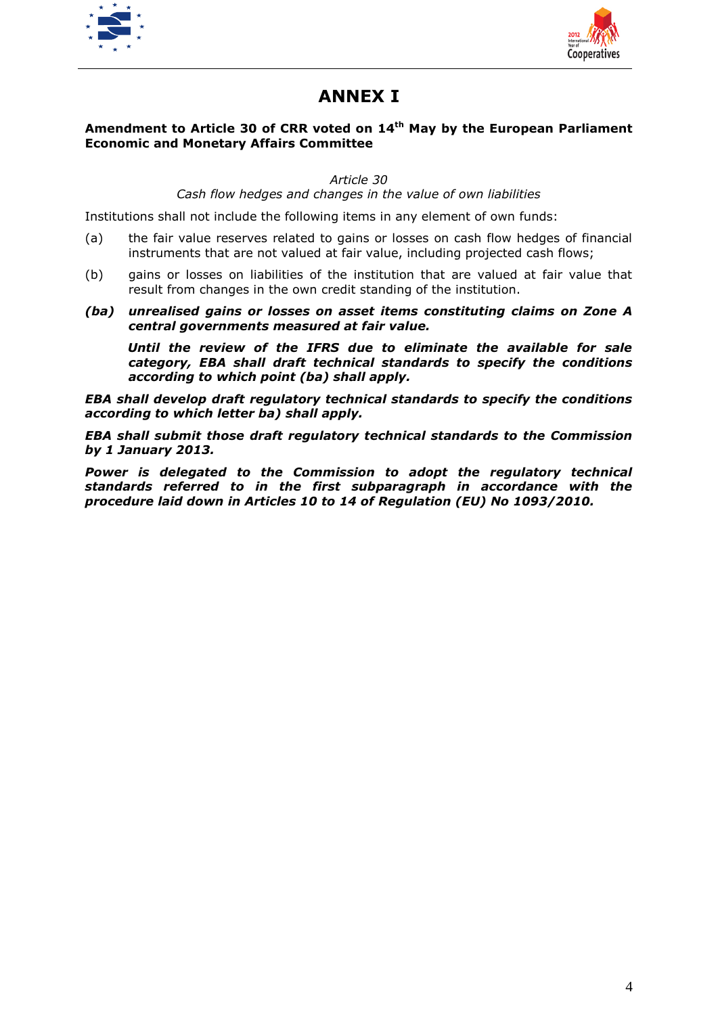



## **ANNEX I**

## **Amendment to Article 30 of CRR voted on 14th May by the European Parliament Economic and Monetary Affairs Committee**

*Article 30*

*Cash flow hedges and changes in the value of own liabilities*

Institutions shall not include the following items in any element of own funds:

- (a) the fair value reserves related to gains or losses on cash flow hedges of financial instruments that are not valued at fair value, including projected cash flows;
- (b) gains or losses on liabilities of the institution that are valued at fair value that result from changes in the own credit standing of the institution.
- *(ba) unrealised gains or losses on asset items constituting claims on Zone A central governments measured at fair value.*

*Until the review of the IFRS due to eliminate the available for sale category, EBA shall draft technical standards to specify the conditions according to which point (ba) shall apply.*

*EBA shall develop draft regulatory technical standards to specify the conditions according to which letter ba) shall apply.*

*EBA shall submit those draft regulatory technical standards to the Commission by 1 January 2013.*

*Power is delegated to the Commission to adopt the regulatory technical standards referred to in the first subparagraph in accordance with the procedure laid down in Articles 10 to 14 of Regulation (EU) No 1093/2010.*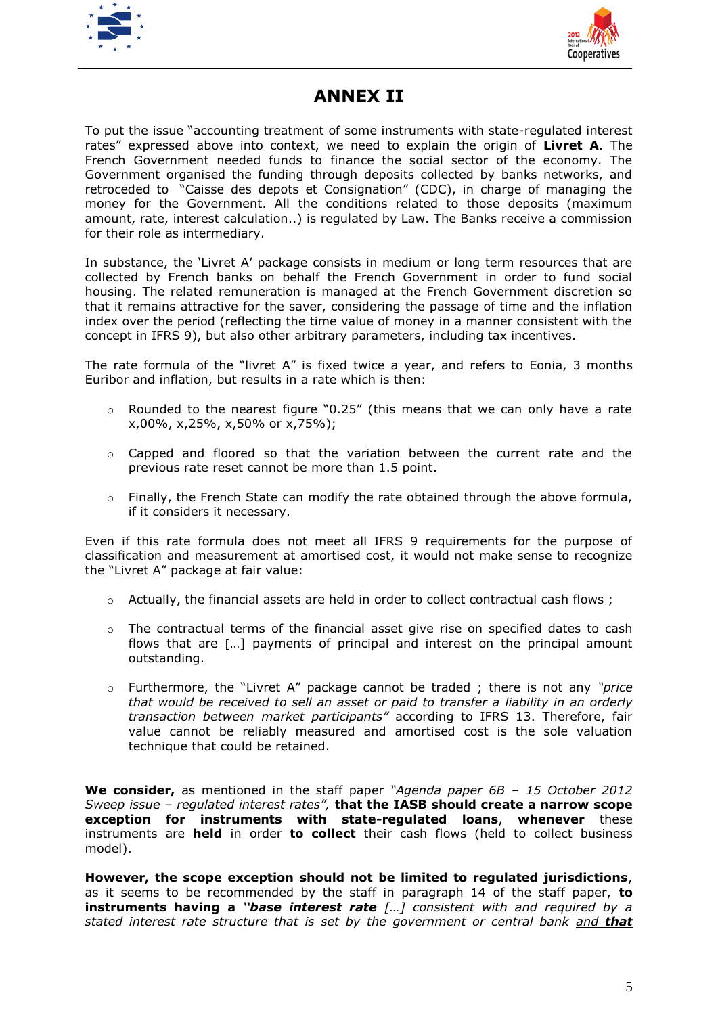



## **ANNEX II**

To put the issue "accounting treatment of some instruments with state-regulated interest rates" expressed above into context, we need to explain the origin of **Livret A**. The French Government needed funds to finance the social sector of the economy. The Government organised the funding through deposits collected by banks networks, and retroceded to "Caisse des depots et Consignation" (CDC), in charge of managing the money for the Government. All the conditions related to those deposits (maximum amount, rate, interest calculation..) is regulated by Law. The Banks receive a commission for their role as intermediary.

In substance, the 'Livret A' package consists in medium or long term resources that are collected by French banks on behalf the French Government in order to fund social housing. The related remuneration is managed at the French Government discretion so that it remains attractive for the saver, considering the passage of time and the inflation index over the period (reflecting the time value of money in a manner consistent with the concept in IFRS 9), but also other arbitrary parameters, including tax incentives.

The rate formula of the "livret A" is fixed twice a year, and refers to Eonia, 3 months Euribor and inflation, but results in a rate which is then:

- $\circ$  Rounded to the nearest figure "0.25" (this means that we can only have a rate x,00%, x,25%, x,50% or x,75%);
- $\circ$  Capped and floored so that the variation between the current rate and the previous rate reset cannot be more than 1.5 point.
- $\circ$  Finally, the French State can modify the rate obtained through the above formula, if it considers it necessary.

Even if this rate formula does not meet all IFRS 9 requirements for the purpose of classification and measurement at amortised cost, it would not make sense to recognize the "Livret A" package at fair value:

- o Actually, the financial assets are held in order to collect contractual cash flows ;
- $\circ$  The contractual terms of the financial asset give rise on specified dates to cash flows that are […] payments of principal and interest on the principal amount outstanding.
- o Furthermore, the "Livret A" package cannot be traded ; there is not any *"price that would be received to sell an asset or paid to transfer a liability in an orderly transaction between market participants"* according to IFRS 13. Therefore, fair value cannot be reliably measured and amortised cost is the sole valuation technique that could be retained.

**We consider,** as mentioned in the staff paper *"Agenda paper 6B – 15 October 2012 Sweep issue – regulated interest rates",* **that the IASB should create a narrow scope exception for instruments with state-regulated loans**, **whenever** these instruments are **held** in order **to collect** their cash flows (held to collect business model).

**However, the scope exception should not be limited to regulated jurisdictions**, as it seems to be recommended by the staff in paragraph 14 of the staff paper, **to instruments having a** *"base interest rate […] consistent with and required by a stated interest rate structure that is set by the government or central bank and that*